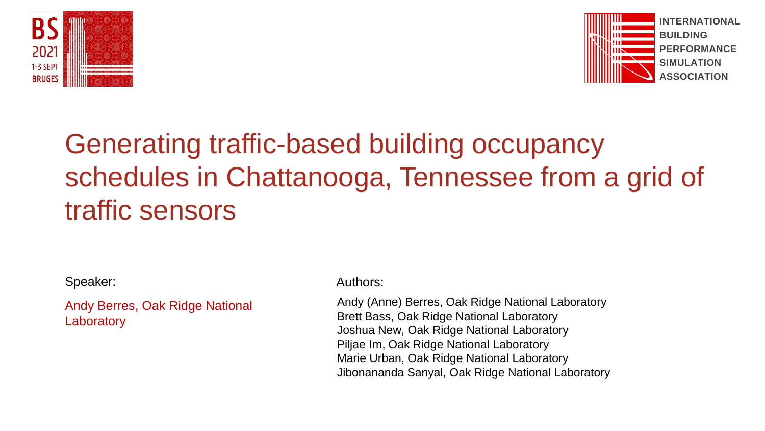



# Generating traffic-based building occupancy schedules in Chattanooga, Tennessee from a grid of traffic sensors

Speaker: Authors: Authors: Authors: Authors: Authors: Authors: Authors: Authors: Authors: Authors: Authors: Authors: Authors: Authors: Authors: Authors: Authors: Authors: Authors: Authors: Authors: Authors: Authors: Author

Andy Berres, Oak Ridge National **Laboratory** 

Andy (Anne) Berres, Oak Ridge National Laboratory Brett Bass, Oak Ridge National Laboratory Joshua New, Oak Ridge National Laboratory Piljae Im, Oak Ridge National Laboratory Marie Urban, Oak Ridge National Laboratory Jibonananda Sanyal, Oak Ridge National Laboratory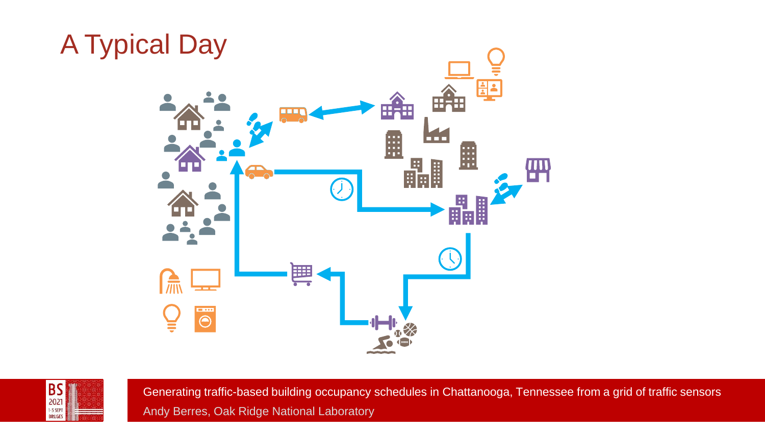

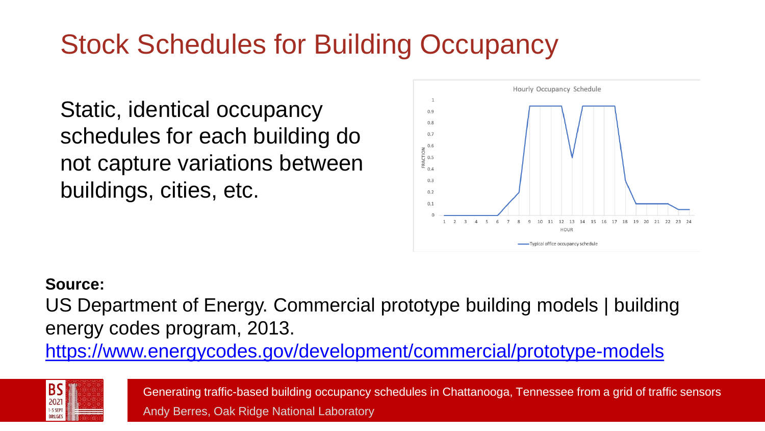### Stock Schedules for Building Occupancy

Static, identical occupancy schedules for each building do not capture variations between buildings, cities, etc.



#### **Source:**

US Department of Energy. Commercial prototype building models | building energy codes program, 2013.

<https://www.energycodes.gov/development/commercial/prototype-models>

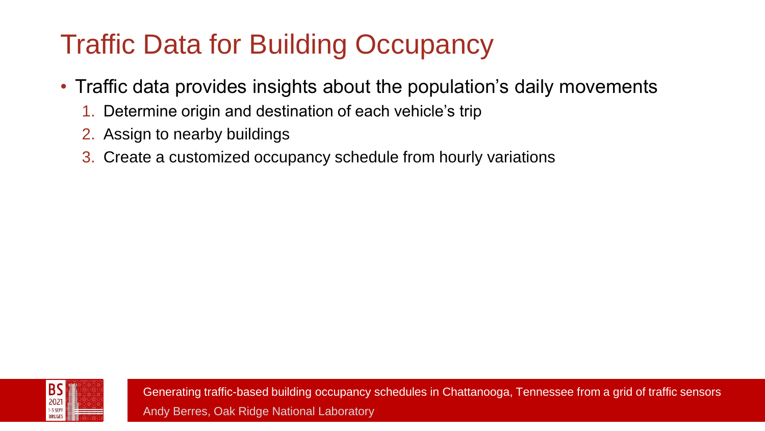# Traffic Data for Building Occupancy

- Traffic data provides insights about the population's daily movements
	- 1. Determine origin and destination of each vehicle's trip
	- 2. Assign to nearby buildings
	- 3. Create a customized occupancy schedule from hourly variations

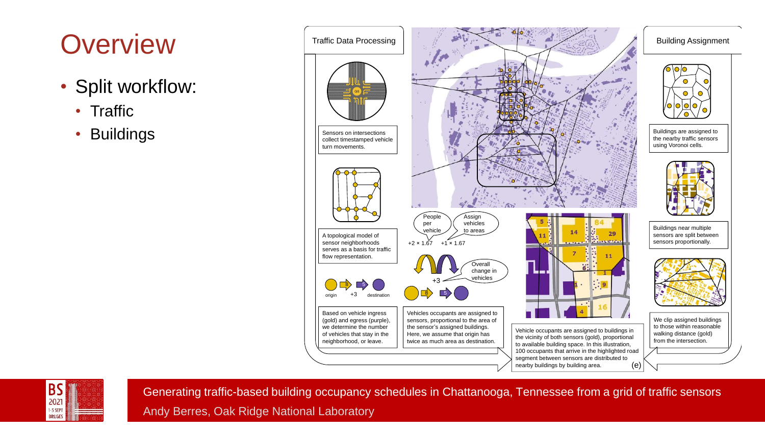### **Overview**

- Split workflow:
	- Traffic
	- Buildings



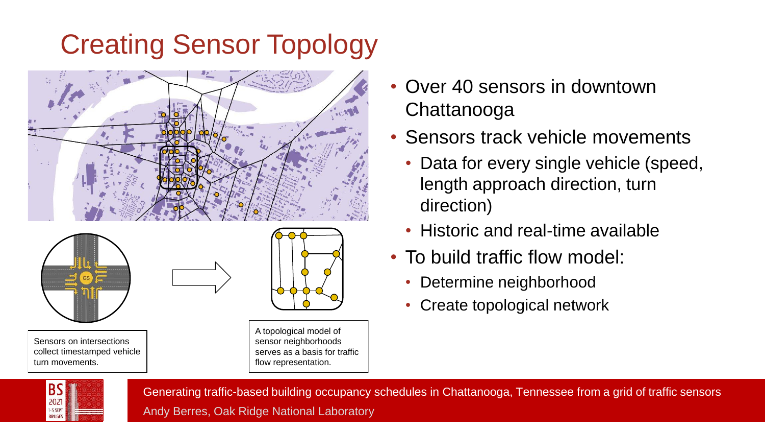# Creating Sensor Topology





Sensors on intersections collect timestamped vehicle turn movements.



A topological model of sensor neighborhoods serves as a basis for traffic flow representation.

- Over 40 sensors in downtown Chattanooga
- Sensors track vehicle movements
	- Data for every single vehicle (speed, length approach direction, turn direction)
	- Historic and real-time available
- To build traffic flow model:
	- Determine neighborhood
	- Create topological network

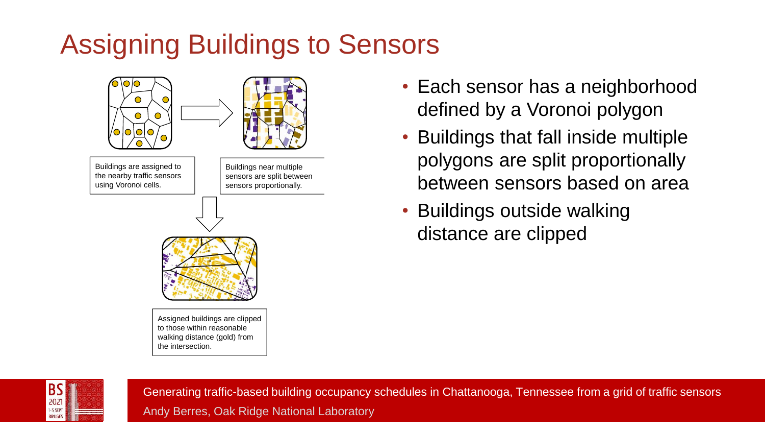# Assigning Buildings to Sensors



- Each sensor has a neighborhood defined by a Voronoi polygon
- Buildings that fall inside multiple polygons are split proportionally between sensors based on area
- Buildings outside walking distance are clipped

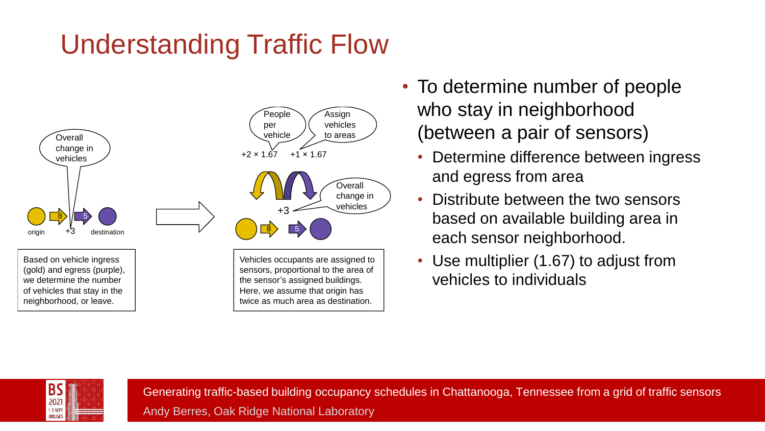# Understanding Traffic Flow



Based on vehicle ingress (gold) and egress (purple), we determine the number of vehicles that stay in the neighborhood, or leave.



sensors, proportional to the area of the sensor's assigned buildings. Here, we assume that origin has twice as much area as destination.

- To determine number of people who stay in neighborhood (between a pair of sensors)
	- Determine difference between ingress and egress from area
	- Distribute between the two sensors based on available building area in each sensor neighborhood.
	- Use multiplier (1.67) to adjust from vehicles to individuals



Generating traffic-based building occupancy schedules in Chattanooga, Tennessee from a grid of traffic sensors Vehicles occupants are assigned to<br>sensors, proportional to the area of<br>the sensor's assigned buildings.<br>Here, we assume that origin has<br>twice as much area as destination.<br>Cenerating traffic-based building occupancy :<br>Andy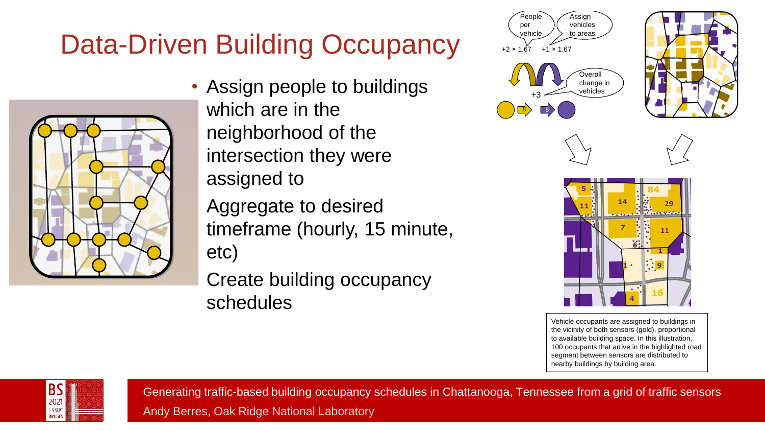### Data-Driven Building Occupancy <u>bala</u>



• Assign people to buildings which are in the neighborhood of the intersection they were assigned to

• Aggregate to desired timeframe (hourly, 15 minute, etc)

**Create building occupancy** schedules









Vehicle occupants are assigned to buildings in the vicinity of both sensors (gold), proportional to available building space. In this illustration, 100 occupants that arrive in the highlighted road segment between sensors are distributed to nearby buildings by building area.



Generating traffic-based building occupancy schedules in Chattanooga, Tennessee from a grid of traffic sensors Andy Berres, Oak Ridge National Laboratory Overall

change in the change in the change in the change of the change of the change of the change of the change of the<br>The change of the change of the change of the change of the change of the change of the change of the change o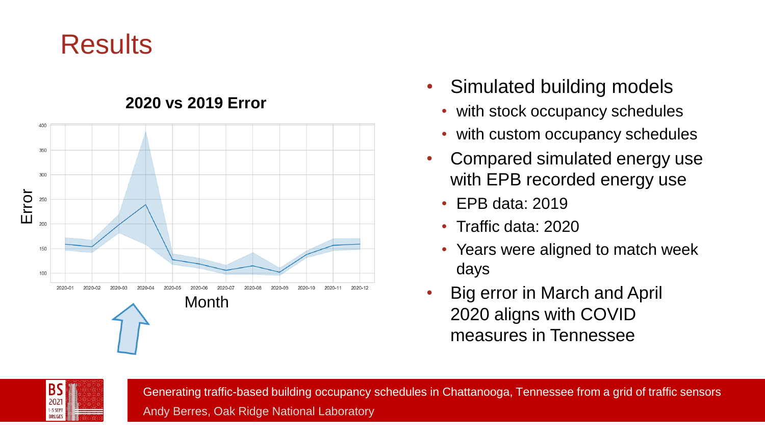### **Results**



#### **2020 vs 2019 Error**

- Simulated building models
	- with stock occupancy schedules
	- with custom occupancy schedules
- Compared simulated energy use with EPB recorded energy use
	- EPB data: 2019
	- Traffic data: 2020
	- Years were aligned to match week days
- Big error in March and April 2020 aligns with COVID measures in Tennessee

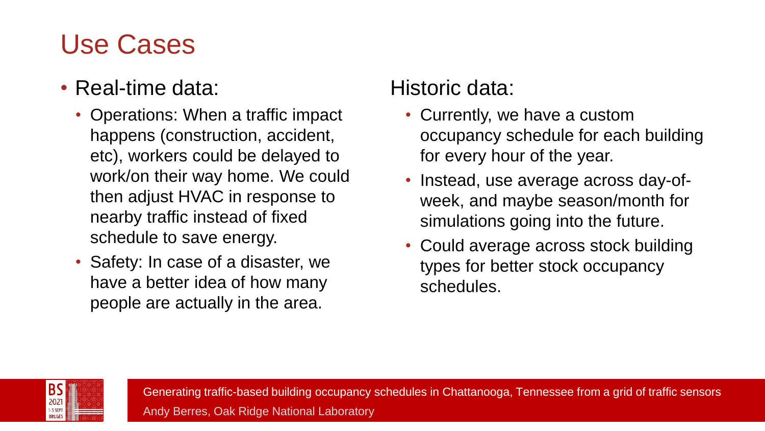### Use Cases

### • Real-time data:

- Operations: When a traffic impact happens (construction, accident, etc), workers could be delayed to work/on their way home. We could then adjust HVAC in response to nearby traffic instead of fixed schedule to save energy.
- Safety: In case of a disaster, we have a better idea of how many people are actually in the area.

### Historic data:

- Currently, we have a custom occupancy schedule for each building for every hour of the year.
- Instead, use average across day-ofweek, and maybe season/month for simulations going into the future.
- Could average across stock building types for better stock occupancy schedules.

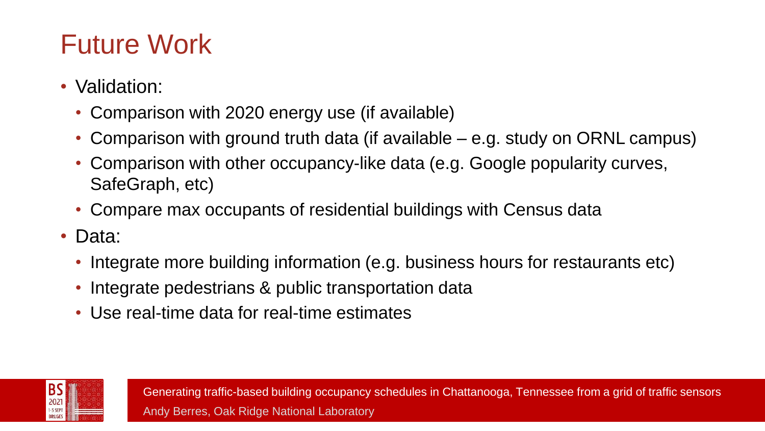### Future Work

- Validation:
	- Comparison with 2020 energy use (if available)
	- Comparison with ground truth data (if available e.g. study on ORNL campus)
	- Comparison with other occupancy-like data (e.g. Google popularity curves, SafeGraph, etc)
	- Compare max occupants of residential buildings with Census data
- Data:
	- Integrate more building information (e.g. business hours for restaurants etc)
	- Integrate pedestrians & public transportation data
	- Use real-time data for real-time estimates